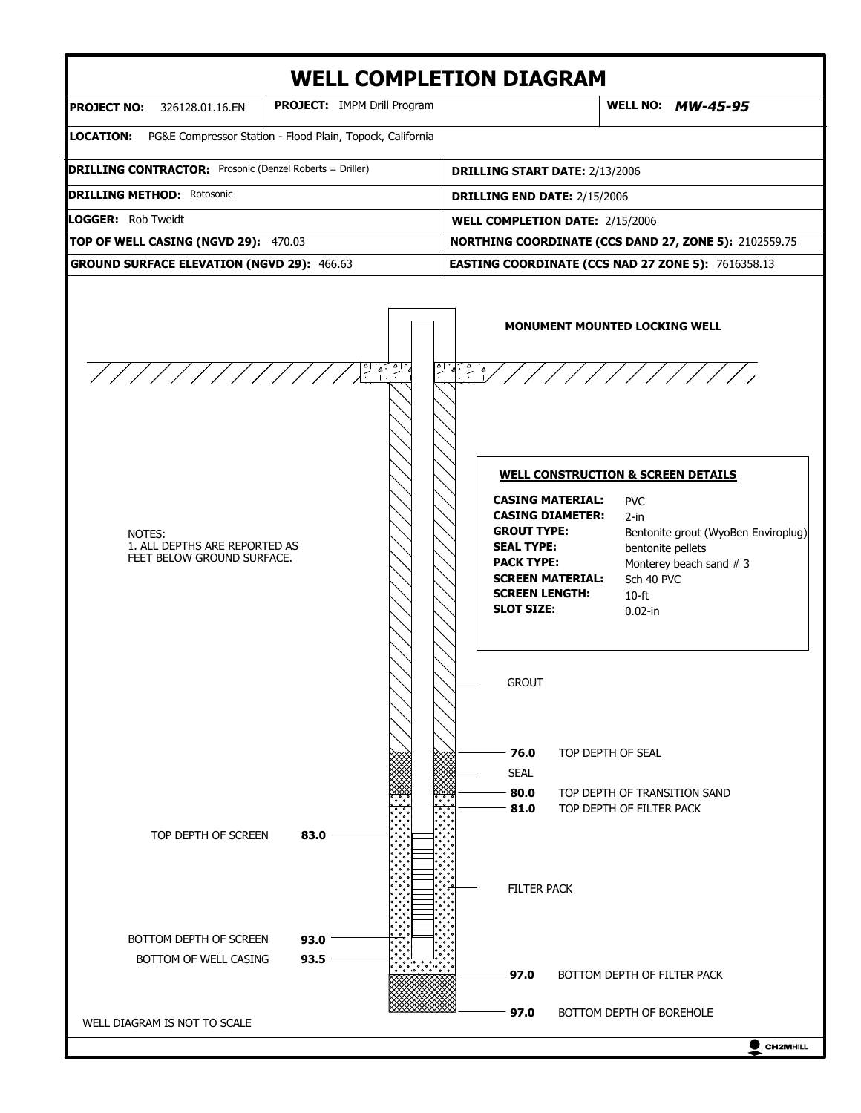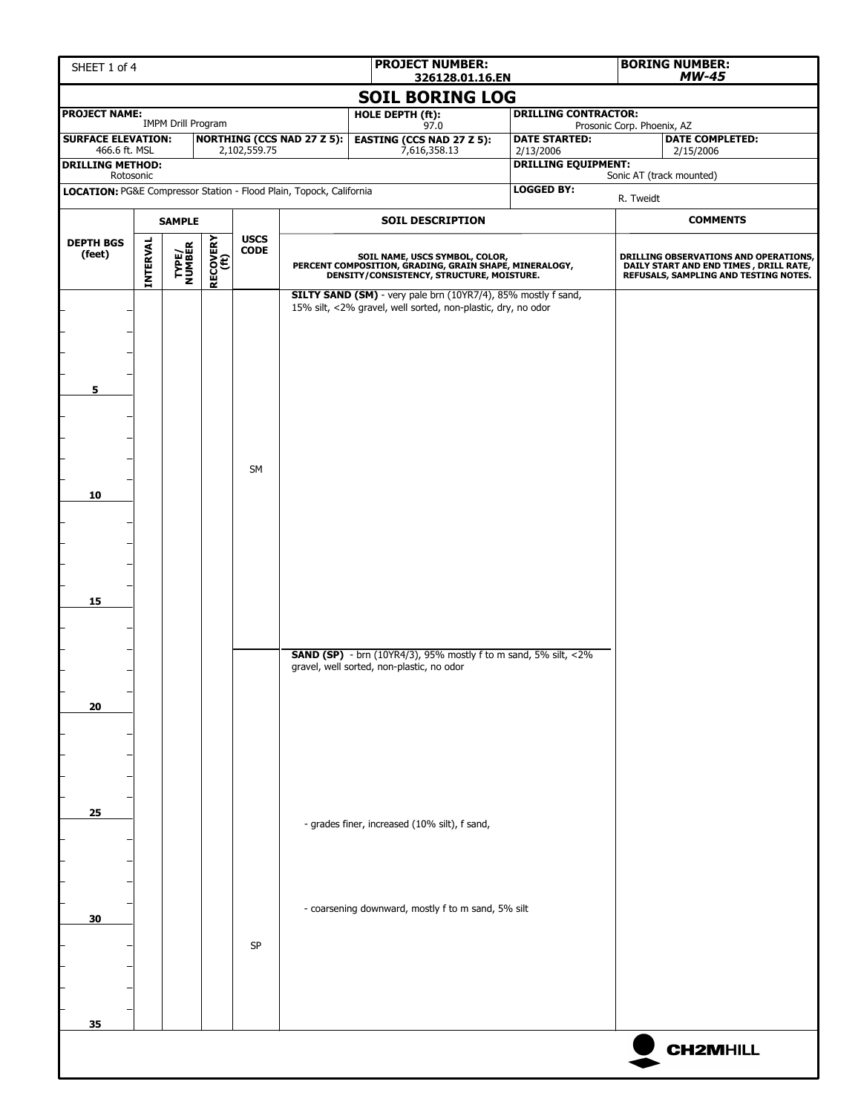| SHEET 1 of 4                                                                     |                 |                           |                  |                         |                                   | <b>PROJECT NUMBER:</b><br>326128.01.16.EN                                                                                             |                                     |                                   | <b>BORING NUMBER:</b><br><b>MW-45</b> |                                                                                                                           |  |  |
|----------------------------------------------------------------------------------|-----------------|---------------------------|------------------|-------------------------|-----------------------------------|---------------------------------------------------------------------------------------------------------------------------------------|-------------------------------------|-----------------------------------|---------------------------------------|---------------------------------------------------------------------------------------------------------------------------|--|--|
|                                                                                  |                 |                           |                  |                         |                                   | <b>SOIL BORING LOG</b>                                                                                                                |                                     |                                   |                                       |                                                                                                                           |  |  |
| <b>PROJECT NAME:</b>                                                             |                 | <b>IMPM Drill Program</b> |                  |                         |                                   | HOLE DEPTH (ft):                                                                                                                      | <b>DRILLING CONTRACTOR:</b><br>97.0 |                                   |                                       | Prosonic Corp. Phoenix, AZ                                                                                                |  |  |
| <b>SURFACE ELEVATION:</b><br>466.6 ft. MSL                                       |                 |                           |                  | 2,102,559.75            | <b>NORTHING (CCS NAD 27 Z 5):</b> | <b>EASTING (CCS NAD 27 Z 5):</b><br>7,616,358.13                                                                                      |                                     | <b>DATE STARTED:</b><br>2/13/2006 |                                       | <b>DATE COMPLETED:</b><br>2/15/2006                                                                                       |  |  |
| <b>DRILLING METHOD:</b>                                                          |                 |                           |                  |                         |                                   |                                                                                                                                       |                                     | <b>DRILLING EQUIPMENT:</b>        |                                       |                                                                                                                           |  |  |
| Rotosonic<br>LOCATION: PG&E Compressor Station - Flood Plain, Topock, California |                 |                           |                  |                         |                                   |                                                                                                                                       |                                     | <b>LOGGED BY:</b>                 | R. Tweidt                             | Sonic AT (track mounted)                                                                                                  |  |  |
| <b>SAMPLE</b>                                                                    |                 |                           |                  | <b>SOIL DESCRIPTION</b> |                                   |                                                                                                                                       |                                     | <b>COMMENTS</b>                   |                                       |                                                                                                                           |  |  |
| <b>DEPTH BGS</b>                                                                 |                 |                           | RECOVERY<br>(ft) | <b>USCS</b>             |                                   |                                                                                                                                       |                                     |                                   |                                       |                                                                                                                           |  |  |
| (feet)                                                                           | <b>INTERVAL</b> | TYPE/<br>NUMBER           |                  | $\mathsf{CODE}$         |                                   | SOIL NAME, USCS SYMBOL, COLOR,<br>PERCENT COMPOSITION, GRADING, GRAIN SHAPE, MINERALOGY,<br>DENSITY/CONSISTENCY, STRUCTURE, MOISTURE. |                                     |                                   |                                       | DRILLING OBSERVATIONS AND OPERATIONS,<br>DAILY START AND END TIMES , DRILL RATE,<br>REFUSALS, SAMPLING AND TESTING NOTES. |  |  |
| 5<br>10<br>15                                                                    |                 |                           |                  | <b>SM</b>               |                                   | SILTY SAND (SM) - very pale brn (10YR7/4), 85% mostly f sand,<br>15% silt, <2% gravel, well sorted, non-plastic, dry, no odor         |                                     |                                   |                                       |                                                                                                                           |  |  |
| 20                                                                               |                 |                           |                  |                         |                                   | <b>SAND (SP)</b> - brn (10YR4/3), 95% mostly f to m sand, 5% silt, $<2\%$<br>gravel, well sorted, non-plastic, no odor                |                                     |                                   |                                       |                                                                                                                           |  |  |
| 25                                                                               |                 |                           |                  |                         |                                   | - grades finer, increased (10% silt), f sand,                                                                                         |                                     |                                   |                                       |                                                                                                                           |  |  |
|                                                                                  |                 |                           |                  |                         |                                   | - coarsening downward, mostly f to m sand, 5% silt                                                                                    |                                     |                                   |                                       |                                                                                                                           |  |  |
| 30                                                                               |                 |                           |                  | SP                      |                                   |                                                                                                                                       |                                     |                                   |                                       |                                                                                                                           |  |  |
| 35                                                                               |                 |                           |                  |                         |                                   |                                                                                                                                       |                                     |                                   |                                       | <b>CH2MHILL</b>                                                                                                           |  |  |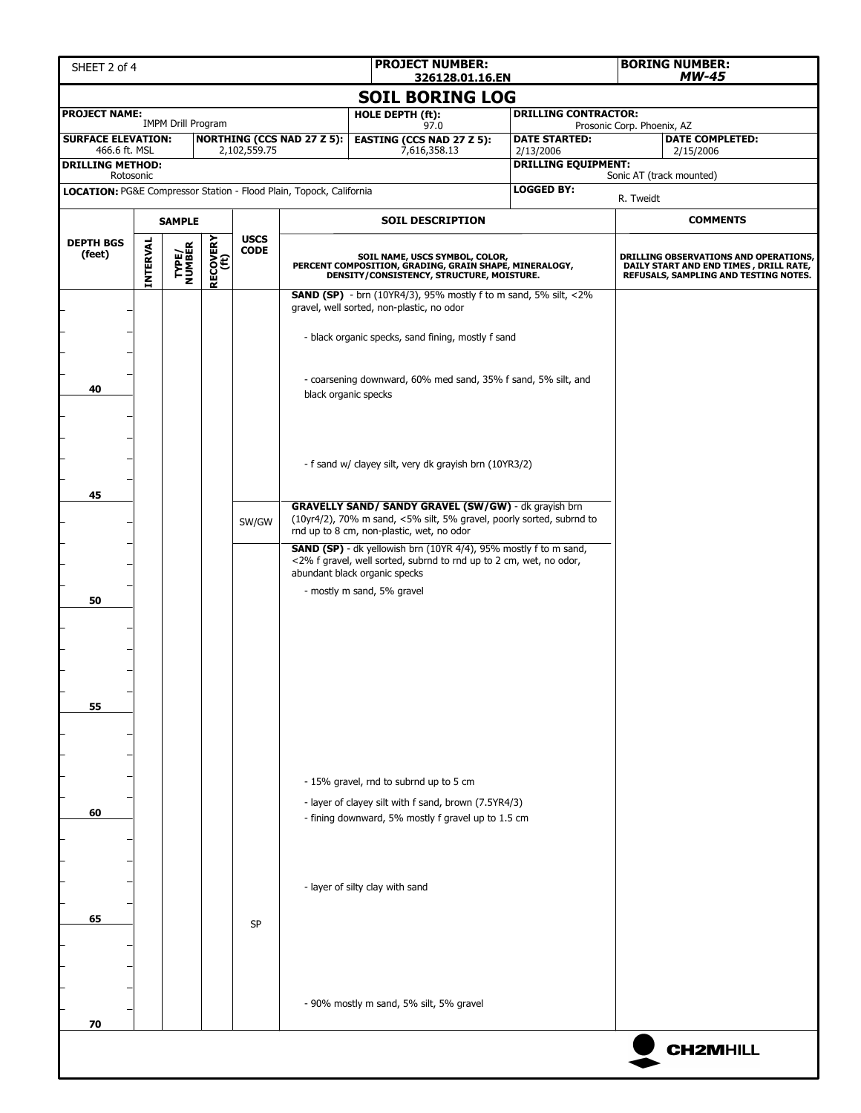| SHEET 2 of 4                                                        |                 |                           |                         |                            |                                   | <b>PROJECT NUMBER:</b><br>326128.01.16.EN                                                                                                                                        |                                         |                            | <b>BORING NUMBER:</b><br><b>MW-45</b>                                                                                    |  |  |
|---------------------------------------------------------------------|-----------------|---------------------------|-------------------------|----------------------------|-----------------------------------|----------------------------------------------------------------------------------------------------------------------------------------------------------------------------------|-----------------------------------------|----------------------------|--------------------------------------------------------------------------------------------------------------------------|--|--|
|                                                                     |                 |                           |                         |                            |                                   | <b>SOIL BORING LOG</b>                                                                                                                                                           |                                         |                            |                                                                                                                          |  |  |
| <b>PROJECT NAME:</b>                                                |                 | <b>IMPM Drill Program</b> |                         |                            |                                   | <b>HOLE DEPTH (ft):</b><br>97.0                                                                                                                                                  | <b>DRILLING CONTRACTOR:</b>             | Prosonic Corp. Phoenix, AZ |                                                                                                                          |  |  |
| <b>SURFACE ELEVATION:</b>                                           |                 |                           |                         |                            | <b>NORTHING (CCS NAD 27 Z 5):</b> | <b>EASTING (CCS NAD 27 Z 5):</b>                                                                                                                                                 | <b>DATE STARTED:</b>                    |                            | <b>DATE COMPLETED:</b>                                                                                                   |  |  |
| 466.6 ft. MSL<br><b>DRILLING METHOD:</b>                            |                 |                           |                         | 2,102,559.75               |                                   | 7,616,358.13                                                                                                                                                                     | 2/13/2006<br><b>DRILLING EQUIPMENT:</b> |                            | 2/15/2006                                                                                                                |  |  |
| Rotosonic                                                           |                 |                           |                         |                            |                                   |                                                                                                                                                                                  | <b>LOGGED BY:</b>                       |                            | Sonic AT (track mounted)                                                                                                 |  |  |
| LOCATION: PG&E Compressor Station - Flood Plain, Topock, California |                 |                           |                         |                            |                                   |                                                                                                                                                                                  |                                         | R. Tweidt                  |                                                                                                                          |  |  |
|                                                                     | <b>SAMPLE</b>   |                           |                         |                            | <b>SOIL DESCRIPTION</b>           |                                                                                                                                                                                  |                                         |                            | <b>COMMENTS</b>                                                                                                          |  |  |
| <b>DEPTH BGS</b><br>(feet)                                          | <b>INTERVAL</b> | TYPE/<br>NUMBER           | <b>RECOVERY</b><br>(ft) | <b>USCS</b><br><b>CODE</b> |                                   | SOIL NAME, USCS SYMBOL, COLOR,<br>PERCENT COMPOSITION, GRADING, GRAIN SHAPE, MINERALOGY,<br>DENSITY/CONSISTENCY, STRUCTURE, MOISTURE.                                            |                                         |                            | DRILLING OBSERVATIONS AND OPERATIONS,<br>DAILY START AND END TIMES, DRILL RATE,<br>REFUSALS, SAMPLING AND TESTING NOTES. |  |  |
|                                                                     |                 |                           |                         |                            |                                   | <b>SAND (SP)</b> - brn (10YR4/3), 95% mostly f to m sand, 5% silt, $<2\%$<br>gravel, well sorted, non-plastic, no odor<br>- black organic specks, sand fining, mostly f sand     |                                         |                            |                                                                                                                          |  |  |
| 40<br>black organic specks                                          |                 |                           |                         |                            |                                   | - coarsening downward, 60% med sand, 35% f sand, 5% silt, and                                                                                                                    |                                         |                            |                                                                                                                          |  |  |
| 45                                                                  |                 |                           |                         |                            |                                   | - f sand w/ clayey silt, very dk grayish brn (10YR3/2)                                                                                                                           |                                         |                            |                                                                                                                          |  |  |
|                                                                     |                 |                           |                         | SW/GW                      |                                   | <b>GRAVELLY SAND/ SANDY GRAVEL (SW/GW)</b> - dk grayish brn<br>(10yr4/2), 70% m sand, <5% silt, 5% gravel, poorly sorted, subrnd to<br>rnd up to 8 cm, non-plastic, wet, no odor |                                         |                            |                                                                                                                          |  |  |
|                                                                     |                 |                           |                         |                            |                                   | <b>SAND (SP)</b> - dk yellowish brn (10YR 4/4), 95% mostly f to m sand,<br><2% f gravel, well sorted, subrnd to rnd up to 2 cm, wet, no odor,<br>abundant black organic specks   |                                         |                            |                                                                                                                          |  |  |
| 50                                                                  |                 |                           |                         |                            |                                   | - mostly m sand, 5% gravel                                                                                                                                                       |                                         |                            |                                                                                                                          |  |  |
| 55                                                                  |                 |                           |                         |                            |                                   |                                                                                                                                                                                  |                                         |                            |                                                                                                                          |  |  |
|                                                                     |                 |                           |                         |                            |                                   | - 15% gravel, rnd to subrnd up to 5 cm<br>- layer of clayey silt with f sand, brown (7.5YR4/3)                                                                                   |                                         |                            |                                                                                                                          |  |  |
| 60                                                                  |                 |                           |                         |                            |                                   | - fining downward, 5% mostly f gravel up to 1.5 cm                                                                                                                               |                                         |                            |                                                                                                                          |  |  |
| 65                                                                  |                 |                           |                         |                            |                                   | - layer of silty clay with sand                                                                                                                                                  |                                         |                            |                                                                                                                          |  |  |
|                                                                     |                 |                           |                         | <b>SP</b>                  |                                   |                                                                                                                                                                                  |                                         |                            |                                                                                                                          |  |  |
| 70                                                                  |                 |                           |                         |                            |                                   | - 90% mostly m sand, 5% silt, 5% gravel                                                                                                                                          |                                         |                            |                                                                                                                          |  |  |
|                                                                     |                 |                           |                         |                            |                                   |                                                                                                                                                                                  |                                         |                            | <b>CH2MHILL</b>                                                                                                          |  |  |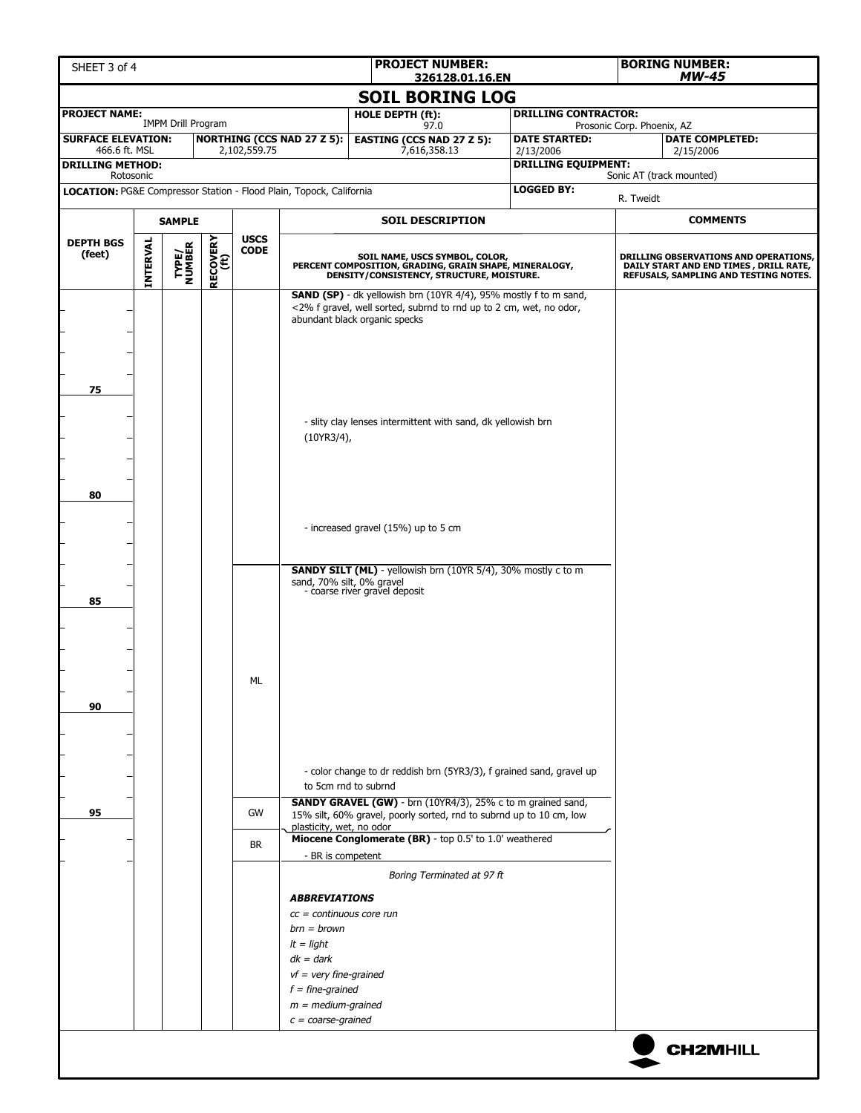| SHEET 3 of 4              |           |                           |                  |              |                                                                     | <b>PROJECT NUMBER:</b><br>326128.01.16.EN                                                                                                                                                           |                             |                            | <b>BORING NUMBER:</b><br><b>MW-45</b>                                                                                    |  |  |
|---------------------------|-----------|---------------------------|------------------|--------------|---------------------------------------------------------------------|-----------------------------------------------------------------------------------------------------------------------------------------------------------------------------------------------------|-----------------------------|----------------------------|--------------------------------------------------------------------------------------------------------------------------|--|--|
|                           |           |                           |                  |              |                                                                     | <b>SOIL BORING LOG</b>                                                                                                                                                                              |                             |                            |                                                                                                                          |  |  |
| <b>PROJECT NAME:</b>      |           |                           |                  |              |                                                                     | HOLE DEPTH (ft):                                                                                                                                                                                    | <b>DRILLING CONTRACTOR:</b> |                            |                                                                                                                          |  |  |
| <b>SURFACE ELEVATION:</b> |           | <b>IMPM Drill Program</b> |                  |              | <b>NORTHING (CCS NAD 27 Z 5):</b>                                   | 97.0<br><b>EASTING (CCS NAD 27 Z 5):</b>                                                                                                                                                            | <b>DATE STARTED:</b>        | Prosonic Corp. Phoenix, AZ | <b>DATE COMPLETED:</b>                                                                                                   |  |  |
| 466.6 ft. MSL             |           |                           |                  | 2,102,559.75 |                                                                     | 7,616,358.13                                                                                                                                                                                        | 2/13/2006                   |                            | 2/15/2006                                                                                                                |  |  |
| <b>DRILLING METHOD:</b>   | Rotosonic |                           |                  |              |                                                                     |                                                                                                                                                                                                     | <b>DRILLING EQUIPMENT:</b>  |                            | Sonic AT (track mounted)                                                                                                 |  |  |
|                           |           |                           |                  |              | LOCATION: PG&E Compressor Station - Flood Plain, Topock, California |                                                                                                                                                                                                     | <b>LOGGED BY:</b>           | R. Tweidt                  |                                                                                                                          |  |  |
| <b>SAMPLE</b>             |           |                           |                  |              |                                                                     | <b>SOIL DESCRIPTION</b>                                                                                                                                                                             |                             |                            | <b>COMMENTS</b>                                                                                                          |  |  |
| <b>DEPTH BGS</b>          |           |                           |                  | <b>USCS</b>  |                                                                     |                                                                                                                                                                                                     |                             |                            |                                                                                                                          |  |  |
| (feet)                    | INTERVAL  | <b>TYPE/<br/>NUMBER</b>   | RECOVERY<br>(ft) | <b>CODE</b>  |                                                                     | SOIL NAME, USCS SYMBOL, COLOR,<br>PERCENT COMPOSITION, GRADING, GRAIN SHAPE, MINERALOGY,<br>DENSITY/CONSISTENCY, STRUCTURE, MOISTURE.                                                               |                             |                            | DRILLING OBSERVATIONS AND OPERATIONS,<br>DAILY START AND END TIMES, DRILL RATE,<br>REFUSALS, SAMPLING AND TESTING NOTES. |  |  |
|                           |           |                           |                  |              |                                                                     | <b>SAND (SP)</b> - dk yellowish brn (10YR 4/4), 95% mostly f to m sand,<br><2% f gravel, well sorted, subrnd to rnd up to 2 cm, wet, no odor,<br>abundant black organic specks                      |                             |                            |                                                                                                                          |  |  |
| 75                        |           |                           |                  |              |                                                                     |                                                                                                                                                                                                     |                             |                            |                                                                                                                          |  |  |
|                           |           |                           |                  |              | (10YR3/4),                                                          | - slity clay lenses intermittent with sand, dk yellowish brn                                                                                                                                        |                             |                            |                                                                                                                          |  |  |
| 80                        |           |                           |                  |              |                                                                     |                                                                                                                                                                                                     |                             |                            |                                                                                                                          |  |  |
|                           |           |                           |                  |              |                                                                     | - increased gravel (15%) up to 5 cm                                                                                                                                                                 |                             |                            |                                                                                                                          |  |  |
| 85                        |           |                           |                  |              | sand, 70% silt, 0% gravel                                           | <b>SANDY SILT (ML)</b> - yellowish brn (10YR 5/4), 30% mostly c to m<br>- coarse river gravel deposit                                                                                               |                             |                            |                                                                                                                          |  |  |
|                           |           |                           |                  |              |                                                                     |                                                                                                                                                                                                     |                             |                            |                                                                                                                          |  |  |
| 90                        |           |                           |                  | ML           |                                                                     |                                                                                                                                                                                                     |                             |                            |                                                                                                                          |  |  |
|                           |           |                           |                  |              |                                                                     | - color change to dr reddish brn (5YR3/3), f grained sand, gravel up<br>to 5cm rnd to subrnd                                                                                                        |                             |                            |                                                                                                                          |  |  |
| 95                        |           |                           |                  | GW           | plasticity, wet, no odor                                            | <b>SANDY GRAVEL (GW)</b> - brn (10YR4/3), 25% c to m grained sand,<br>15% silt, 60% gravel, poorly sorted, rnd to subrnd up to 10 cm, low<br>Miocene Conglomerate (BR) - top 0.5' to 1.0' weathered |                             |                            |                                                                                                                          |  |  |
|                           |           |                           |                  | <b>BR</b>    | - BR is competent                                                   |                                                                                                                                                                                                     |                             |                            |                                                                                                                          |  |  |
|                           |           |                           |                  |              |                                                                     | Boring Terminated at 97 ft                                                                                                                                                                          |                             |                            |                                                                                                                          |  |  |
|                           |           |                           |                  |              | <b>ABBREVIATIONS</b>                                                |                                                                                                                                                                                                     |                             |                            |                                                                                                                          |  |  |
|                           |           |                           |                  |              | $cc =$ continuous core run                                          |                                                                                                                                                                                                     |                             |                            |                                                                                                                          |  |  |
|                           |           |                           |                  |              | $brn = brown$<br>$It$ = light                                       |                                                                                                                                                                                                     |                             |                            |                                                                                                                          |  |  |
|                           |           |                           |                  |              | $dk = dark$                                                         |                                                                                                                                                                                                     |                             |                            |                                                                                                                          |  |  |
|                           |           |                           |                  |              | $vf$ = very fine-grained                                            |                                                                                                                                                                                                     |                             |                            |                                                                                                                          |  |  |
|                           |           |                           |                  |              | $f = fine-grained$                                                  |                                                                                                                                                                                                     |                             |                            |                                                                                                                          |  |  |
|                           |           |                           |                  |              | $m = medium-grained$<br>$c = coarse-grained$                        |                                                                                                                                                                                                     |                             |                            |                                                                                                                          |  |  |
|                           |           |                           |                  |              |                                                                     |                                                                                                                                                                                                     |                             |                            |                                                                                                                          |  |  |
|                           |           |                           |                  |              |                                                                     |                                                                                                                                                                                                     |                             |                            | <b>CH2MHILL</b>                                                                                                          |  |  |